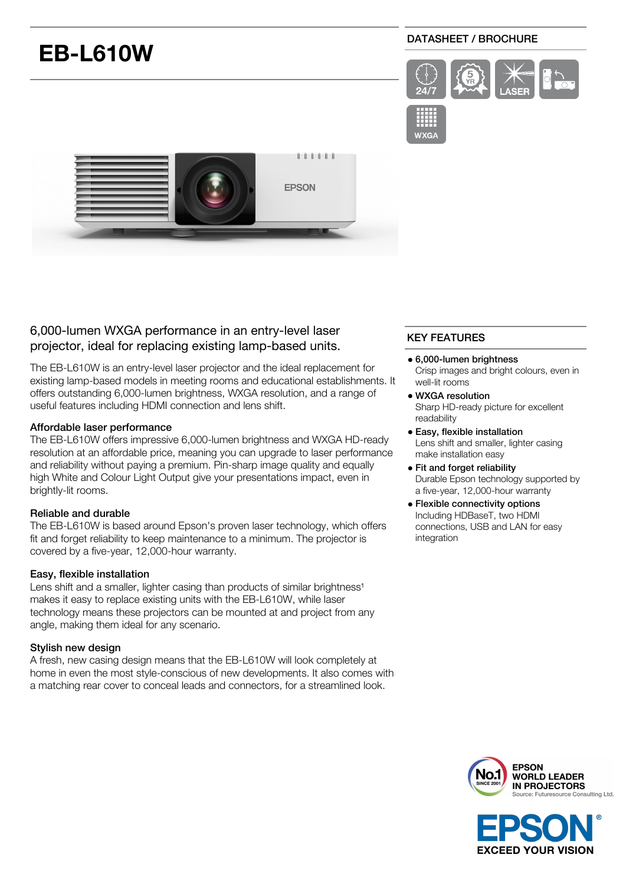# **EB-L610W**

# DATASHEET / BROCHURE





# 6,000-lumen WXGA performance in an entry-level laser projector, ideal for replacing existing lamp-based units.

The EB-L610W is an entry-level laser projector and the ideal replacement for existing lamp-based models in meeting rooms and educational establishments. It offers outstanding 6,000-lumen brightness, WXGA resolution, and a range of useful features including HDMI connection and lens shift.

### Affordable laser performance

The EB-L610W offers impressive 6,000-lumen brightness and WXGA HD-ready resolution at an affordable price, meaning you can upgrade to laser performance and reliability without paying a premium. Pin-sharp image quality and equally high White and Colour Light Output give your presentations impact, even in brightly-lit rooms.

## Reliable and durable

The EB-L610W is based around Epson's proven laser technology, which offers fit and forget reliability to keep maintenance to a minimum. The projector is covered by a five-year, 12,000-hour warranty.

#### Easy, flexible installation

Lens shift and a smaller, lighter casing than products of similar brightness<sup>1</sup> makes it easy to replace existing units with the EB-L610W, while laser technology means these projectors can be mounted at and project from any angle, making them ideal for any scenario.

## Stylish new design

A fresh, new casing design means that the EB-L610W will look completely at home in even the most style-conscious of new developments. It also comes with a matching rear cover to conceal leads and connectors, for a streamlined look.

# KEY FEATURES

- 6,000-lumen brightness Crisp images and bright colours, even in well-lit rooms
- WXGA resolution Sharp HD-ready picture for excellent readability
- Easy, flexible installation Lens shift and smaller, lighter casing make installation easy
- Fit and forget reliability Durable Epson technology supported by a five-year, 12,000-hour warranty
- Flexible connectivity options Including HDBaseT, two HDMI connections, USB and LAN for easy integration



**EXCEED YOUR VISION**